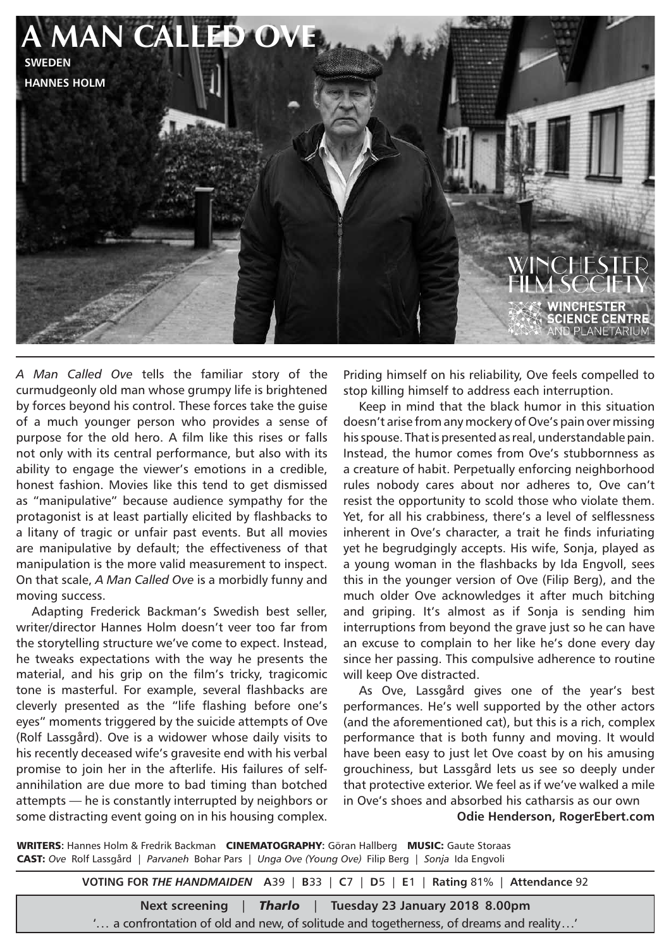

*A Man Called Ove* tells the familiar story of the curmudgeonly old man whose grumpy life is brightened by forces beyond his control. These forces take the guise of a much younger person who provides a sense of purpose for the old hero. A film like this rises or falls not only with its central performance, but also with its ability to engage the viewer's emotions in a credible, honest fashion. Movies like this tend to get dismissed as "manipulative" because audience sympathy for the protagonist is at least partially elicited by flashbacks to a litany of tragic or unfair past events. But all movies are manipulative by default; the effectiveness of that manipulation is the more valid measurement to inspect. On that scale, *A Man Called Ove* is a morbidly funny and moving success.

Adapting Frederick Backman's Swedish best seller, writer/director Hannes Holm doesn't veer too far from the storytelling structure we've come to expect. Instead, he tweaks expectations with the way he presents the material, and his grip on the film's tricky, tragicomic tone is masterful. For example, several flashbacks are cleverly presented as the "life flashing before one's eyes" moments triggered by the suicide attempts of Ove (Rolf Lassgård). Ove is a widower whose daily visits to his recently deceased wife's gravesite end with his verbal promise to join her in the afterlife. His failures of selfannihilation are due more to bad timing than botched attempts — he is constantly interrupted by neighbors or some distracting event going on in his housing complex.

Priding himself on his reliability, Ove feels compelled to stop killing himself to address each interruption.

Keep in mind that the black humor in this situation doesn't arise from any mockery of Ove's pain over missing his spouse. That is presented as real, understandable pain. Instead, the humor comes from Ove's stubbornness as a creature of habit. Perpetually enforcing neighborhood rules nobody cares about nor adheres to, Ove can't resist the opportunity to scold those who violate them. Yet, for all his crabbiness, there's a level of selflessness inherent in Ove's character, a trait he finds infuriating yet he begrudgingly accepts. His wife, Sonja, played as a young woman in the flashbacks by Ida Engvoll, sees this in the younger version of Ove (Filip Berg), and the much older Ove acknowledges it after much bitching and griping. It's almost as if Sonja is sending him interruptions from beyond the grave just so he can have an excuse to complain to her like he's done every day since her passing. This compulsive adherence to routine will keep Ove distracted.

As Ove, Lassgård gives one of the year's best performances. He's well supported by the other actors (and the aforementioned cat), but this is a rich, complex performance that is both funny and moving. It would have been easy to just let Ove coast by on his amusing grouchiness, but Lassgård lets us see so deeply under that protective exterior. We feel as if we've walked a mile in Ove's shoes and absorbed his catharsis as our own **Odie Henderson, RogerEbert.com**

WRITERS**:** Hannes Holm & Fredrik Backman CINEMATOGRAPHY**:** Göran Hallberg MUSIC: Gaute Storaas CAST: *Ove* Rolf Lassgård | *Parvaneh* Bohar Pars | *Unga Ove (Young Ove)* Filip Berg | *Sonja* Ida Engvoli

**VOTING FOR** *THE HANDMAIDEN* **A**39 | **B**33 | **C**7 | **D**5 | **E**1 | **Rating** 81% | **Attendance** 92

**Next screening** | *Tharlo* | **Tuesday 23 January 2018 8.00pm**

'... a confrontation of old and new, of solitude and togetherness, of dreams and reality...'